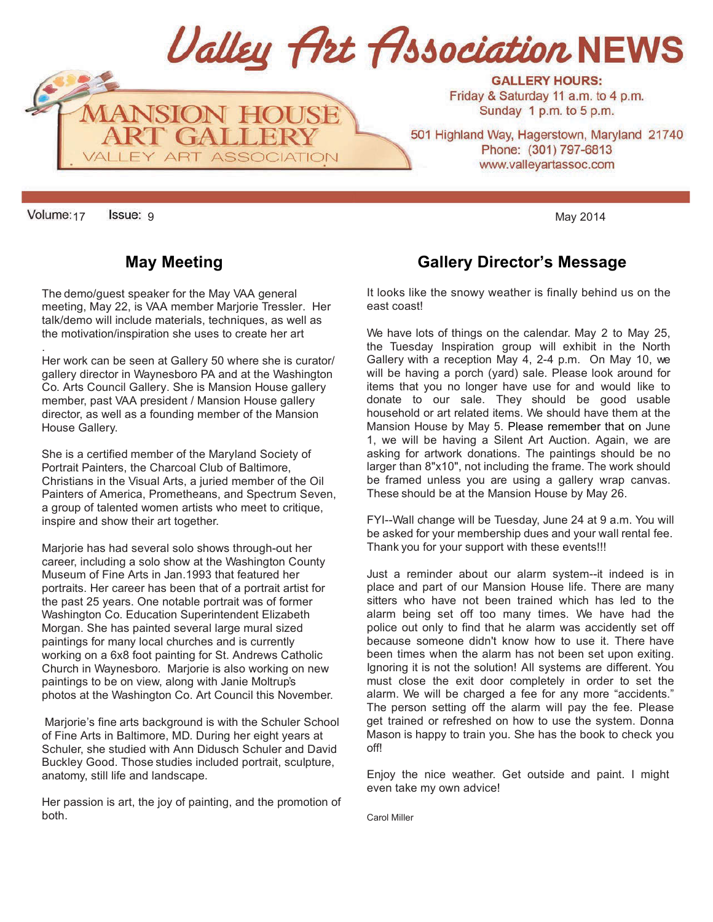

17 9 May 2014

.

The demo/guest speaker for the May VAA general meeting, May 22, is VAA member Marjorie Tressler. Her talk/demo will include materials, techniques, as well as the motivation/inspiration she uses to create her art

Her work can be seen at Gallery 50 where she is curator/ gallery director in Waynesboro PA and at the Washington Co. Arts Council Gallery. She is Mansion House gallery member, past VAA president / Mansion House gallery director, as well as a founding member of the Mansion House Gallery.

She is a certified member of the Maryland Society of Portrait Painters, the Charcoal Club of Baltimore, Christians in the Visual Arts, a juried member of the Oil Painters of America, Prometheans, and Spectrum Seven, a group of talented women artists who meet to critique, inspire and show their art together.

Marjorie has had several solo shows through-out her career, including a solo show at the Washington County Museum of Fine Arts in Jan.1993 that featured her portraits. Her career has been that of a portrait artist for the past 25 years. One notable portrait was of former Washington Co. Education Superintendent Elizabeth Morgan. She has painted several large mural sized paintings for many local churches and is currently working on a 6x8 foot painting for St. Andrews Catholic Church in Waynesboro. Marjorie is also working on new paintings to be on view, along with Janie Moltrup's photos at the Washington Co. Art Council this November.

Marjorie's fine arts background is with the Schuler School of Fine Arts in Baltimore, MD. During her eight years at Schuler, she studied with Ann Didusch Schuler and David Buckley Good. Those studies included portrait, sculpture, anatomy, still life and landscape.

Her passion is art, the joy of painting, and the promotion of both.

# **May Meeting Callery Director's Message May Meeting**

It looks like the snowy weather is finally behind us on the east coast!

We have lots of things on the calendar. May 2 to May 25, the Tuesday Inspiration group will exhibit in the North Gallery with a reception May 4, 2-4 p.m. On May 10, we will be having a porch (yard) sale. Please look around for items that you no longer have use for and would like to donate to our sale. They should be good usable household or art related items. We should have them at the Mansion House by May 5. Please remember that on June 1, we will be having a Silent Art Auction. Again, we are asking for artwork donations. The paintings should be no larger than 8"x10", not including the frame. The work should be framed unless you are using a gallery wrap canvas. These should be at the Mansion House by May 26.

FYI--Wall change will be Tuesday, June 24 at 9 a.m. You will be asked for your membership dues and your wall rental fee. Thank you for your support with these events!!!

Just a reminder about our alarm system--it indeed is in place and part of our Mansion House life. There are many sitters who have not been trained which has led to the alarm being set off too many times. We have had the police out only to find that he alarm was accidently set off because someone didn't know how to use it. There have been times when the alarm has not been set upon exiting. Ignoring it is not the solution! All systems are different. You must close the exit door completely in order to set the alarm. We will be charged a fee for any more "accidents." The person setting off the alarm will pay the fee. Please get trained or refreshed on how to use the system. Donna Mason is happy to train you. She has the book to check you off!

Enjoy the nice weather. Get outside and paint. I might even take my own advice!

Carol Miller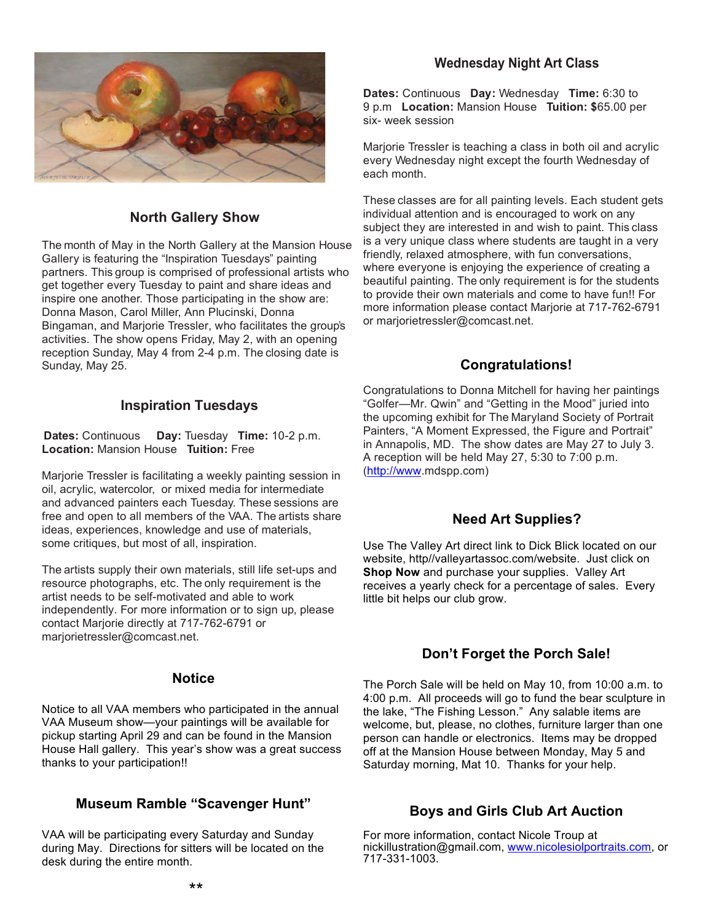

## **North Gallery Show**

The month of May in the North Gallery at the Mansion House Gallery is featuring the "Inspiration Tuesdays" painting partners. This group is comprised of professional artists who get together every Tuesday to paint and share ideas and inspire one another. Those participating in the show are: Donna Mason, Carol Miller, Ann Plucinski, Donna Bingaman, and Marjorie Tressler, who facilitates the group's activities. The show opens Friday, May 2, with an opening reception Sunday, May 4 from 2-4 p.m. The closing date is Sunday, May 25.

#### **Inspiration Tuesdays**

**Dates:** Continuous **Day:** Tuesday **Time:** 10-2 p.m. **Location:** Mansion House **Tuition:** Free

Marjorie Tressler is facilitating a weekly painting session in oil, acrylic, watercolor, or mixed media for intermediate and advanced painters each Tuesday. These sessions are free and open to all members of the VAA. The artists share ideas, experiences, knowledge and use of materials, some critiques, but most of all, inspiration.

The artists supply their own materials, still life set-ups and resource photographs, etc. The only requirement is the artist needs to be self-motivated and able to work independently. For more information or to sign up, please contact Marjorie directly at 717-762-6791 or marjorietressler@comcast.net.

#### **Notice**

Notice to all VAA members who participated in the annual VAA Museum show—your paintings will be available for pickup starting April 29 and can be found in the Mansion House Hall gallery. This year's show was a great success thanks to your participation!!

#### **Museum Ramble "Scavenger Hunt"**

VAA will be participating every Saturday and Sunday during May. Directions for sitters will be located on the desk during the entire month.

## **Wednesday Night Art Class**

**Dates:** Continuous **Day:** Wednesday **Time:** 6:30 to 9 p.m **Location:** Mansion House **Tuition: \$**65.00 per six- week session

Marjorie Tressler is teaching a class in both oil and acrylic every Wednesday night except the fourth Wednesday of each month.

These classes are for all painting levels. Each student gets individual attention and is encouraged to work on any subject they are interested in and wish to paint. This class is a very unique class where students are taught in a very friendly, relaxed atmosphere, with fun conversations, where everyone is enjoying the experience of creating a beautiful painting. The only requirement is for the students to provide their own materials and come to have fun!! For more information please contact Marjorie at 717-762-6791 or marjorietressler@comcast.net.

## **Congratulations!**

Congratulations to Donna Mitchell for having her paintings "Golfer—Mr. Qwin" and "Getting in the Mood" juried into the upcoming exhibit for The Maryland Society of Portrait Painters, "A Moment Expressed, the Figure and Portrait" in Annapolis, MD. The show dates are May 27 to July 3. A reception will be held May 27, 5:30 to 7:00 p.m. (http://www.mdspp.com)

## **Need Art Supplies?**

Use The Valley Art direct link to Dick Blick located on our website, http//valleyartassoc.com/website. Just click on **Shop Now** and purchase your supplies. Valley Art receives a yearly check for a percentage of sales. Every little bit helps our club grow.

## **Don't Forget the Porch Sale!**

The Porch Sale will be held on May 10, from 10:00 a.m. to 4:00 p.m. All proceeds will go to fund the bear sculpture in the lake, "The Fishing Lesson." Any salable items are welcome, but, please, no clothes, furniture larger than one person can handle or electronics. Items may be dropped off at the Mansion House between Monday, May 5 and Saturday morning, Mat 10. Thanks for your help.

## **Boys and Girls Club Art Auction**

For more information, contact Nicole Troup at nickillustration@gmail.com, www.nicolesiolportraits.com, or 717-331-1003.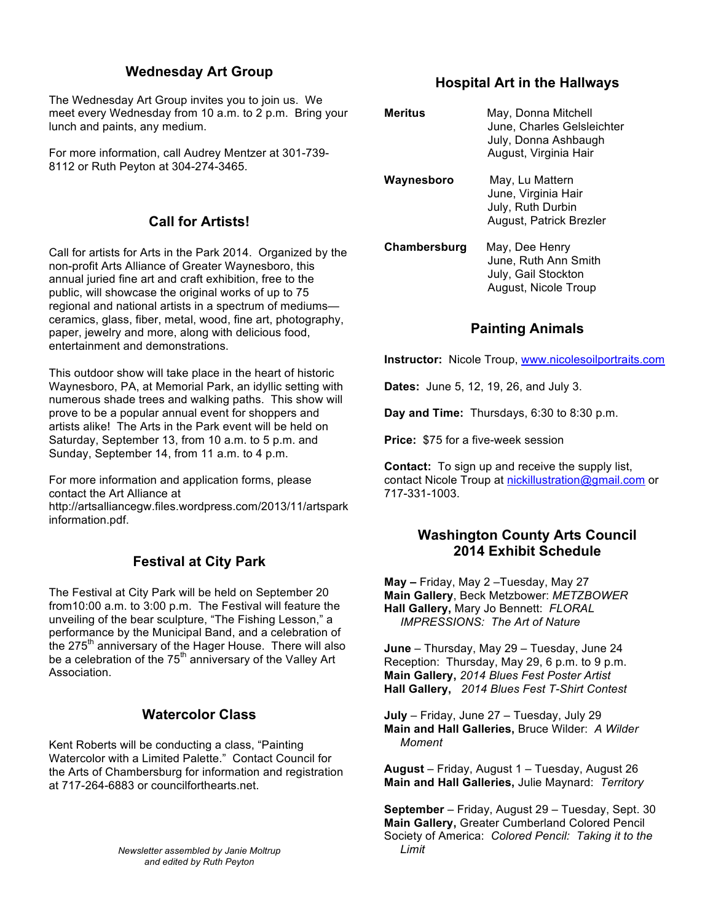## **Wednesday Art Group**

The Wednesday Art Group invites you to join us. We meet every Wednesday from 10 a.m. to 2 p.m. Bring your lunch and paints, any medium.

For more information, call Audrey Mentzer at 301-739- 8112 or Ruth Peyton at 304-274-3465.

## **Call for Artists!**

Call for artists for Arts in the Park 2014. Organized by the non-profit Arts Alliance of Greater Waynesboro, this annual juried fine art and craft exhibition, free to the public, will showcase the original works of up to 75 regional and national artists in a spectrum of mediums ceramics, glass, fiber, metal, wood, fine art, photography, paper, jewelry and more, along with delicious food, entertainment and demonstrations.

This outdoor show will take place in the heart of historic Waynesboro, PA, at Memorial Park, an idyllic setting with numerous shade trees and walking paths. This show will prove to be a popular annual event for shoppers and artists alike! The Arts in the Park event will be held on Saturday, September 13, from 10 a.m. to 5 p.m. and Sunday, September 14, from 11 a.m. to 4 p.m.

For more information and application forms, please contact the Art Alliance at http://artsalliancegw.files.wordpress.com/2013/11/artspark information.pdf.

## **Festival at City Park**

The Festival at City Park will be held on September 20 from10:00 a.m. to 3:00 p.m. The Festival will feature the unveiling of the bear sculpture, "The Fishing Lesson," a performance by the Municipal Band, and a celebration of the 275<sup>th</sup> anniversary of the Hager House. There will also be a celebration of the  $75<sup>th</sup>$  anniversary of the Valley Art Association.

## **Watercolor Class**

Kent Roberts will be conducting a class, "Painting Watercolor with a Limited Palette." Contact Council for the Arts of Chambersburg for information and registration at 717-264-6883 or councilforthearts.net.

> *Newsletter assembled by Janie Moltrup and edited by Ruth Peyton*

#### **Hospital Art in the Hallways**

| <b>Meritus</b> | May, Donna Mitchell<br>June, Charles Gelsleichter<br>July, Donna Ashbaugh<br>August, Virginia Hair |
|----------------|----------------------------------------------------------------------------------------------------|
| Waynesboro     | May, Lu Mattern<br>June, Virginia Hair<br>July, Ruth Durbin<br>August, Patrick Brezler             |
| Chambersburg   | May, Dee Henry<br>June, Ruth Ann Smith<br>July, Gail Stockton<br>August, Nicole Troup              |

## **Painting Animals**

**Instructor:** Nicole Troup, www.nicolesoilportraits.com

**Dates:** June 5, 12, 19, 26, and July 3.

**Day and Time:** Thursdays, 6:30 to 8:30 p.m.

**Price:** \$75 for a five-week session

**Contact:** To sign up and receive the supply list, contact Nicole Troup at nickillustration@gmail.com or 717-331-1003.

## **Washington County Arts Council 2014 Exhibit Schedule**

**May –** Friday, May 2 –Tuesday, May 27 **Main Gallery**, Beck Metzbower: *METZBOWER* **Hall Gallery,** Mary Jo Bennett: *FLORAL* *IMPRESSIONS: The Art of Nature*

**June** – Thursday, May 29 – Tuesday, June 24 Reception: Thursday, May 29, 6 p.m. to 9 p.m. **Main Gallery,** *2014 Blues Fest Poster Artist* **Hall Gallery,** *2014 Blues Fest T-Shirt Contest*

**July** – Friday, June 27 – Tuesday, July 29 **Main and Hall Galleries,** Bruce Wilder: *A Wilder Moment*

**August** – Friday, August 1 – Tuesday, August 26 **Main and Hall Galleries,** Julie Maynard: *Territory*

**September** – Friday, August 29 – Tuesday, Sept. 30 **Main Gallery,** Greater Cumberland Colored Pencil Society of America: *Colored Pencil: Taking it to the Limit*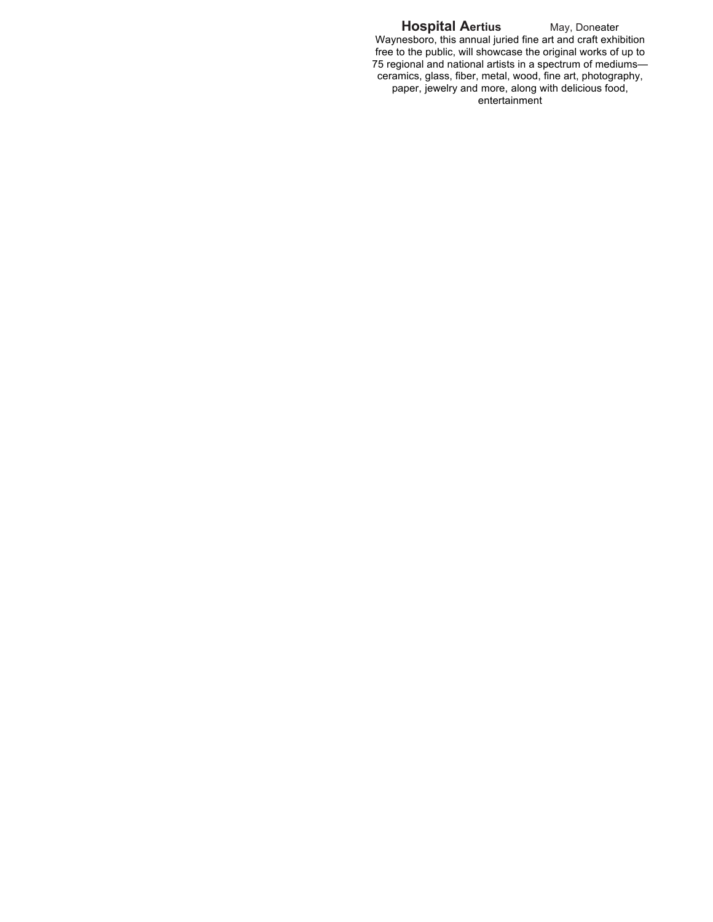#### **Hospital Aertius** May, Doneater

Waynesboro, this annual juried fine art and craft exhibition free to the public, will showcase the original works of up to 75 regional and national artists in a spectrum of mediums ceramics, glass, fiber, metal, wood, fine art, photography, paper, jewelry and more, along with delicious food, entertainment  $\overline{\phantom{a}}$ Ī